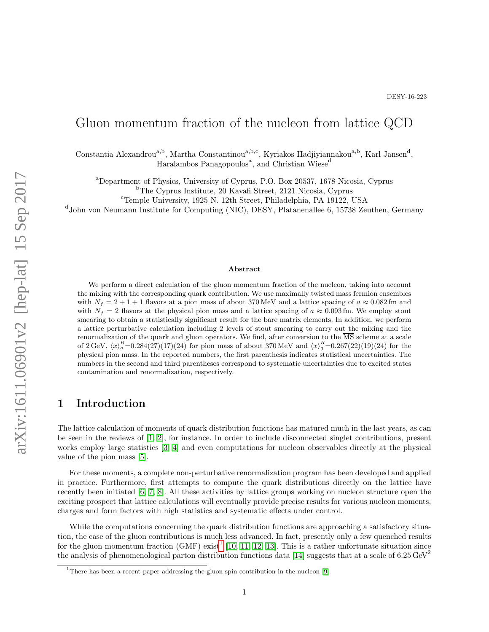# Gluon momentum fraction of the nucleon from lattice QCD

Constantia Alexandrou<sup>a,b</sup>, Martha Constantinou<sup>a,b,c</sup>, Kyriakos Hadjiyiannakou<sup>a,b</sup>, Karl Jansen<sup>d</sup>, Haralambos Panagopoulos<sup>a</sup>, and Christian Wiese<sup>d</sup>

<sup>a</sup>Department of Physics, University of Cyprus, P.O. Box 20537, 1678 Nicosia, Cyprus

<sup>b</sup>The Cyprus Institute, 20 Kavafi Street, 2121 Nicosia, Cyprus

<sup>c</sup>Temple University, 1925 N. 12th Street, Philadelphia, PA 19122, USA

d John von Neumann Institute for Computing (NIC), DESY, Platanenallee 6, 15738 Zeuthen, Germany

#### Abstract

We perform a direct calculation of the gluon momentum fraction of the nucleon, taking into account the mixing with the corresponding quark contribution. We use maximally twisted mass fermion ensembles with  $N_f = 2 + 1 + 1$  flavors at a pion mass of about 370 MeV and a lattice spacing of  $a \approx 0.082$  fm and with  $N_f = 2$  flavors at the physical pion mass and a lattice spacing of  $a \approx 0.093$  fm. We employ stout smearing to obtain a statistically significant result for the bare matrix elements. In addition, we perform a lattice perturbative calculation including 2 levels of stout smearing to carry out the mixing and the renormalization of the quark and gluon operators. We find, after conversion to the MS scheme at a scale of 2 GeV,  $\langle x \rangle_g^R = 0.284(27)(17)(24)$  for pion mass of about 370 MeV and  $\langle x \rangle_g^R = 0.267(22)(19)(24)$  for the physical pion mass. In the reported numbers, the first parenthesis indicates statistical uncertainties. The numbers in the second and third parentheses correspond to systematic uncertainties due to excited states contamination and renormalization, respectively.

### 1 Introduction

The lattice calculation of moments of quark distribution functions has matured much in the last years, as can be seen in the reviews of [\[1,](#page-13-0) [2\]](#page-13-1), for instance. In order to include disconnected singlet contributions, present works employ large statistics [\[3,](#page-13-2) [4\]](#page-13-3) and even computations for nucleon observables directly at the physical value of the pion mass [\[5\]](#page-13-4).

For these moments, a complete non-perturbative renormalization program has been developed and applied in practice. Furthermore, first attempts to compute the quark distributions directly on the lattice have recently been initiated [\[6,](#page-13-5) [7,](#page-13-6) [8\]](#page-13-7). All these activities by lattice groups working on nucleon structure open the exciting prospect that lattice calculations will eventually provide precise results for various nucleon moments, charges and form factors with high statistics and systematic effects under control.

While the computations concerning the quark distribution functions are approaching a satisfactory situation, the case of the gluon contributions is much less advanced. In fact, presently only a few quenched results for the gluon momentum fraction (GMF) exist<sup>[1](#page-0-0)</sup> [\[10,](#page-13-8) [11,](#page-13-9) [12,](#page-13-10) [13\]](#page-13-11). This is a rather unfortunate situation since the analysis of phenomenological parton distribution functions data [\[14\]](#page-13-12) suggests that at a scale of 6.25 GeV<sup>2</sup>

<span id="page-0-0"></span> $1$ There has been a recent paper addressing the gluon spin contribution in the nucleon [\[9\]](#page-13-13).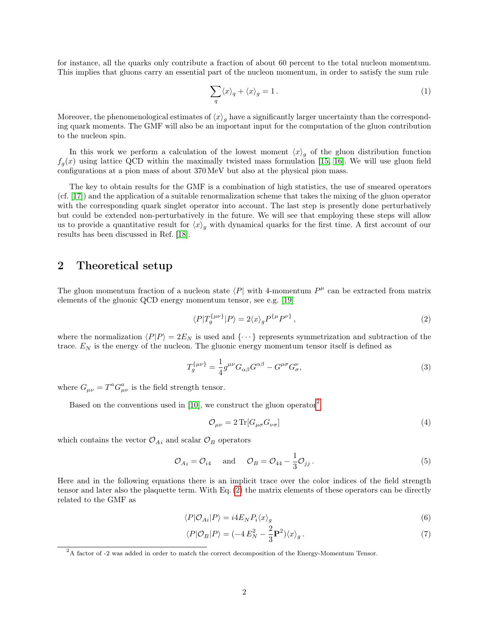for instance, all the quarks only contribute a fraction of about 60 percent to the total nucleon momentum. This implies that gluons carry an essential part of the nucleon momentum, in order to satisfy the sum rule

$$
\sum_{q} \langle x \rangle_{q} + \langle x \rangle_{g} = 1. \tag{1}
$$

Moreover, the phenomenological estimates of  $\langle x \rangle_g$  have a significantly larger uncertainty than the corresponding quark moments. The GMF will also be an important input for the computation of the gluon contribution to the nucleon spin.

In this work we perform a calculation of the lowest moment  $\langle x \rangle_g$  of the gluon distribution function  $f_g(x)$  using lattice QCD within the maximally twisted mass formulation [\[15,](#page-13-14) [16\]](#page-13-15). We will use gluon field configurations at a pion mass of about 370 MeV but also at the physical pion mass.

The key to obtain results for the GMF is a combination of high statistics, the use of smeared operators (cf. [\[17\]](#page-13-16)) and the application of a suitable renormalization scheme that takes the mixing of the gluon operator with the corresponding quark singlet operator into account. The last step is presently done perturbatively but could be extended non-perturbatively in the future. We will see that employing these steps will allow us to provide a quantitative result for  $\langle x \rangle_q$  with dynamical quarks for the first time. A first account of our results has been discussed in Ref. [\[18\]](#page-14-0).

#### 2 Theoretical setup

The gluon momentum fraction of a nucleon state  $\langle P|$  with 4-momentum  $P^{\mu}$  can be extracted from matrix elements of the gluonic QCD energy momentum tensor, see e.g. [\[19\]](#page-14-1)

<span id="page-1-1"></span>
$$
\langle P|T_g^{\{\mu\nu\}}|P\rangle = 2\langle x\rangle_g P^{\{\mu}P^{\nu\}},\tag{2}
$$

where the normalization  $\langle P|P\rangle = 2E_N$  is used and  $\{\cdots\}$  represents symmetrization and subtraction of the trace.  $E_N$  is the energy of the nucleon. The gluonic energy momentum tensor itself is defined as

$$
T_g^{\{\mu\nu\}} = \frac{1}{4}g^{\mu\nu}G_{\alpha\beta}G^{\alpha\beta} - G^{\mu\sigma}G^{\nu}_{\sigma},\tag{3}
$$

where  $G_{\mu\nu} = T^a G^a_{\mu\nu}$  is the field strength tensor.

Based on the conventions used in  $[10]$ , we construct the gluon operator<sup>[2](#page-1-0)</sup>

<span id="page-1-4"></span><span id="page-1-3"></span><span id="page-1-2"></span>
$$
\mathcal{O}_{\mu\nu} = 2 \operatorname{Tr}[G_{\mu\sigma} G_{\nu\sigma}] \tag{4}
$$

which contains the vector  $\mathcal{O}_{Ai}$  and scalar  $\mathcal{O}_{B}$  operators

$$
\mathcal{O}_{Ai} = \mathcal{O}_{i4} \quad \text{and} \quad \mathcal{O}_B = \mathcal{O}_{44} - \frac{1}{3} \mathcal{O}_{jj} \,. \tag{5}
$$

Here and in the following equations there is an implicit trace over the color indices of the field strength tensor and later also the plaquette term. With Eq. [\(2\)](#page-1-1) the matrix elements of these operators can be directly related to the GMF as

$$
\langle P|\mathcal{O}_{Ai}|P\rangle = i4E_N P_i \langle x \rangle_g \tag{6}
$$

$$
\langle P|\mathcal{O}_B|P\rangle = (-4E_N^2 - \frac{2}{3}\mathbf{P}^2)\langle x\rangle_g. \tag{7}
$$

<span id="page-1-0"></span> $^{2}$ A factor of -2 was added in order to match the correct decomposition of the Energy-Momentum Tensor.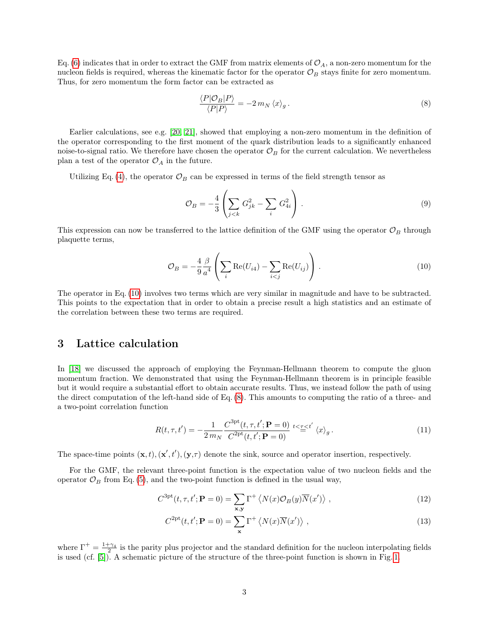Eq. [\(6\)](#page-1-2) indicates that in order to extract the GMF from matrix elements of  $\mathcal{O}_A$ , a non-zero momentum for the nucleon fields is required, whereas the kinematic factor for the operator  $\mathcal{O}_B$  stays finite for zero momentum. Thus, for zero momentum the form factor can be extracted as

<span id="page-2-1"></span>
$$
\frac{\langle P|\mathcal{O}_B|P\rangle}{\langle P|P\rangle} = -2\,m_N\,\langle x\rangle_g\,. \tag{8}
$$

Earlier calculations, see e.g. [\[20,](#page-14-2) [21\]](#page-14-3), showed that employing a non-zero momentum in the definition of the operator corresponding to the first moment of the quark distribution leads to a significantly enhanced noise-to-signal ratio. We therefore have chosen the operator  $\mathcal{O}_B$  for the current calculation. We nevertheless plan a test of the operator  $\mathcal{O}_A$  in the future.

Utilizing Eq. [\(4\)](#page-1-3), the operator  $\mathcal{O}_B$  can be expressed in terms of the field strength tensor as

<span id="page-2-0"></span>
$$
\mathcal{O}_B = -\frac{4}{3} \left( \sum_{j < k} G_{jk}^2 - \sum_i G_{4i}^2 \right). \tag{9}
$$

This expression can now be transferred to the lattice definition of the GMF using the operator  $\mathcal{O}_B$  through plaquette terms,

$$
\mathcal{O}_B = -\frac{4}{9} \frac{\beta}{a^4} \left( \sum_i \text{Re}(U_{i4}) - \sum_{i < j} \text{Re}(U_{ij}) \right) \,. \tag{10}
$$

The operator in Eq. [\(10\)](#page-2-0) involves two terms which are very similar in magnitude and have to be subtracted. This points to the expectation that in order to obtain a precise result a high statistics and an estimate of the correlation between these two terms are required.

#### 3 Lattice calculation

In [\[18\]](#page-14-0) we discussed the approach of employing the Feynman-Hellmann theorem to compute the gluon momentum fraction. We demonstrated that using the Feynman-Hellmann theorem is in principle feasible but it would require a substantial effort to obtain accurate results. Thus, we instead follow the path of using the direct computation of the left-hand side of Eq. [\(8\)](#page-2-1). This amounts to computing the ratio of a three- and a two-point correlation function

<span id="page-2-2"></span>
$$
R(t,\tau,t') = -\frac{1}{2\,m_N} \frac{C^{\text{3pt}}(t,\tau,t';\mathbf{P}=0)}{C^{\text{2pt}}(t,t';\mathbf{P}=0)} \stackrel{t<\tau
$$

The space-time points  $(\mathbf{x}, t), (\mathbf{x}', t'), (\mathbf{y}, \tau)$  denote the sink, source and operator insertion, respectively.

For the GMF, the relevant three-point function is the expectation value of two nucleon fields and the operator  $\mathcal{O}_B$  from Eq. [\(5\)](#page-1-4), and the two-point function is defined in the usual way,

$$
C^{3pt}(t, \tau, t'; \mathbf{P} = 0) = \sum_{\mathbf{x}, \mathbf{y}} \Gamma^+ \left\langle N(x) \mathcal{O}_B(y) \overline{N}(x') \right\rangle, \tag{12}
$$

$$
C^{2\text{pt}}(t, t'; \mathbf{P} = 0) = \sum_{\mathbf{x}} \Gamma^{+} \langle N(x) \overline{N}(x') \rangle , \qquad (13)
$$

where  $\Gamma^+ = \frac{1+\gamma_4}{r^2}$  is the parity plus projector and the standard definition for the nucleon interpolating fields is used (cf. [\[5\]](#page-13-4)). A schematic picture of the structure of the three-point function is shown in Fig. [1.](#page-3-0)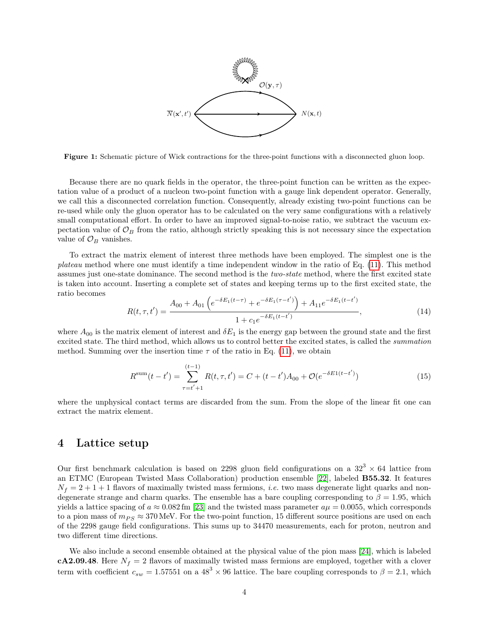<span id="page-3-0"></span>

Figure 1: Schematic picture of Wick contractions for the three-point functions with a disconnected gluon loop.

Because there are no quark fields in the operator, the three-point function can be written as the expectation value of a product of a nucleon two-point function with a gauge link dependent operator. Generally, we call this a disconnected correlation function. Consequently, already existing two-point functions can be re-used while only the gluon operator has to be calculated on the very same configurations with a relatively small computational effort. In order to have an improved signal-to-noise ratio, we subtract the vacuum expectation value of  $\mathcal{O}_B$  from the ratio, although strictly speaking this is not necessary since the expectation value of  $\mathcal{O}_B$  vanishes.

To extract the matrix element of interest three methods have been employed. The simplest one is the plateau method where one must identify a time independent window in the ratio of Eq. [\(11\)](#page-2-2). This method assumes just one-state dominance. The second method is the *two-state* method, where the first excited state is taken into account. Inserting a complete set of states and keeping terms up to the first excited state, the ratio becomes

$$
R(t,\tau,t') = \frac{A_{00} + A_{01} \left(e^{-\delta E_1(t-\tau)} + e^{-\delta E_1(\tau-t')} \right) + A_{11} e^{-\delta E_1(t-t')}}{1 + c_1 e^{-\delta E_1(t-t')}} \tag{14}
$$

where  $A_{00}$  is the matrix element of interest and  $\delta E_1$  is the energy gap between the ground state and the first excited state. The third method, which allows us to control better the excited states, is called the summation method. Summing over the insertion time  $\tau$  of the ratio in Eq. [\(11\)](#page-2-2), we obtain

$$
R^{\text{sum}}(t - t') = \sum_{\tau = t' + 1}^{(t-1)} R(t, \tau, t') = C + (t - t')A_{00} + \mathcal{O}(e^{-\delta E 1(t - t')})
$$
(15)

where the unphysical contact terms are discarded from the sum. From the slope of the linear fit one can extract the matrix element.

### 4 Lattice setup

Our first benchmark calculation is based on 2298 gluon field configurations on a  $32^3 \times 64$  lattice from an ETMC (European Twisted Mass Collaboration) production ensemble [\[22\]](#page-14-4), labeled B55.32. It features  $N_f = 2 + 1 + 1$  flavors of maximally twisted mass fermions, *i.e.* two mass degenerate light quarks and nondegenerate strange and charm quarks. The ensemble has a bare coupling corresponding to  $\beta = 1.95$ , which yields a lattice spacing of  $a \approx 0.082$  fm [\[23\]](#page-14-5) and the twisted mass parameter  $a\mu = 0.0055$ , which corresponds to a pion mass of  $m_{PS} \approx 370$  MeV. For the two-point function, 15 different source positions are used on each of the 2298 gauge field configurations. This sums up to 34470 measurements, each for proton, neutron and two different time directions.

We also include a second ensemble obtained at the physical value of the pion mass [\[24\]](#page-14-6), which is labeled cA2.09.48. Here  $N_f = 2$  flavors of maximally twisted mass fermions are employed, together with a clover term with coefficient  $c_{sw} = 1.57551$  on a  $48<sup>3</sup> \times 96$  lattice. The bare coupling corresponds to  $\beta = 2.1$ , which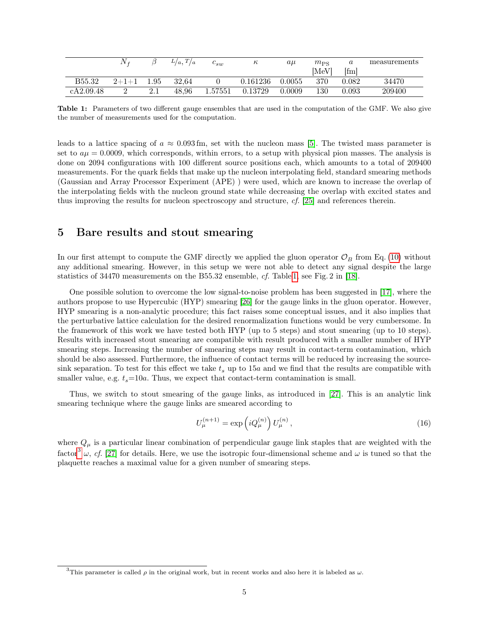<span id="page-4-0"></span>

|           | Ŋ       |      | $L/a$ , $T/a$ | $c_{sw}$ | ĸ,       | $a\mu$ | $m_{PS}$ | $\alpha$ | measurements |
|-----------|---------|------|---------------|----------|----------|--------|----------|----------|--------------|
|           |         |      |               |          |          |        | [MeV]    | [fm]     |              |
| B55.32    | $2+1+1$ | 1.95 | 32.64         |          | 0.161236 | 0.0055 | 370      | 0.082    | 34470        |
| cA2.09.48 |         |      | 48.96         | 1.57551  | 0.13729  | 0.0009 | 130      | 0.093    | 209400       |

Table 1: Parameters of two different gauge ensembles that are used in the computation of the GMF. We also give the number of measurements used for the computation.

leads to a lattice spacing of  $a \approx 0.093$  fm, set with the nucleon mass [\[5\]](#page-13-4). The twisted mass parameter is set to  $a\mu = 0.0009$ , which corresponds, within errors, to a setup with physical pion masses. The analysis is done on 2094 configurations with 100 different source positions each, which amounts to a total of 209400 measurements. For the quark fields that make up the nucleon interpolating field, standard smearing methods (Gaussian and Array Processor Experiment (APE) ) were used, which are known to increase the overlap of the interpolating fields with the nucleon ground state while decreasing the overlap with excited states and thus improving the results for nucleon spectroscopy and structure, cf. [\[25\]](#page-14-7) and references therein.

### <span id="page-4-2"></span>5 Bare results and stout smearing

In our first attempt to compute the GMF directly we applied the gluon operator  $\mathcal{O}_B$  from Eq. [\(10\)](#page-2-0) without any additional smearing. However, in this setup we were not able to detect any signal despite the large statistics of 34470 measurements on the B55.32 ensemble, cf. Table [1,](#page-4-0) see Fig. 2 in [\[18\]](#page-14-0).

One possible solution to overcome the low signal-to-noise problem has been suggested in [\[17\]](#page-13-16), where the authors propose to use Hypercubic (HYP) smearing [\[26\]](#page-14-8) for the gauge links in the gluon operator. However, HYP smearing is a non-analytic procedure; this fact raises some conceptual issues, and it also implies that the perturbative lattice calculation for the desired renormalization functions would be very cumbersome. In the framework of this work we have tested both HYP (up to 5 steps) and stout smearing (up to 10 steps). Results with increased stout smearing are compatible with result produced with a smaller number of HYP smearing steps. Increasing the number of smearing steps may result in contact-term contamination, which should be also assessed. Furthermore, the influence of contact terms will be reduced by increasing the sourcesink separation. To test for this effect we take  $t_s$  up to  $15a$  and we find that the results are compatible with smaller value, e.g.  $t_s$ =10a. Thus, we expect that contact-term contamination is small.

Thus, we switch to stout smearing of the gauge links, as introduced in [\[27\]](#page-14-9). This is an analytic link smearing technique where the gauge links are smeared according to

$$
U_{\mu}^{(n+1)} = \exp\left(iQ_{\mu}^{(n)}\right)U_{\mu}^{(n)},\tag{16}
$$

where  $Q_{\mu}$  is a particular linear combination of perpendicular gauge link staples that are weighted with the factor<sup>[3](#page-4-1)</sup>  $\omega$ , cf. [\[27\]](#page-14-9) for details. Here, we use the isotropic four-dimensional scheme and  $\omega$  is tuned so that the plaquette reaches a maximal value for a given number of smearing steps.

<span id="page-4-1"></span><sup>&</sup>lt;sup>3</sup>This parameter is called  $\rho$  in the original work, but in recent works and also here it is labeled as  $\omega$ .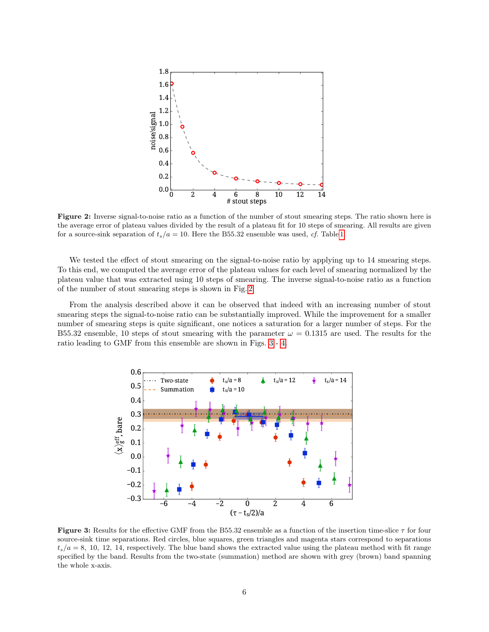<span id="page-5-0"></span>

Figure 2: Inverse signal-to-noise ratio as a function of the number of stout smearing steps. The ratio shown here is the average error of plateau values divided by the result of a plateau fit for 10 steps of smearing. All results are given for a source-sink separation of  $t_s/a = 10$ . Here the B55.32 ensemble was used, cf. Table [1.](#page-4-0)

We tested the effect of stout smearing on the signal-to-noise ratio by applying up to 14 smearing steps. To this end, we computed the average error of the plateau values for each level of smearing normalized by the plateau value that was extracted using 10 steps of smearing. The inverse signal-to-noise ratio as a function of the number of stout smearing steps is shown in Fig. [2.](#page-5-0)

From the analysis described above it can be observed that indeed with an increasing number of stout smearing steps the signal-to-noise ratio can be substantially improved. While the improvement for a smaller number of smearing steps is quite significant, one notices a saturation for a larger number of steps. For the B55.32 ensemble, 10 steps of stout smearing with the parameter  $\omega = 0.1315$  are used. The results for the ratio leading to GMF from this ensemble are shown in Figs. [3](#page-5-1) - [4.](#page-6-0)

<span id="page-5-1"></span>

Figure 3: Results for the effective GMF from the B55.32 ensemble as a function of the insertion time-slice  $\tau$  for four source-sink time separations. Red circles, blue squares, green triangles and magenta stars correspond to separations  $t_s/a = 8$ , 10, 12, 14, respectively. The blue band shows the extracted value using the plateau method with fit range specified by the band. Results from the two-state (summation) method are shown with grey (brown) band spanning the whole x-axis.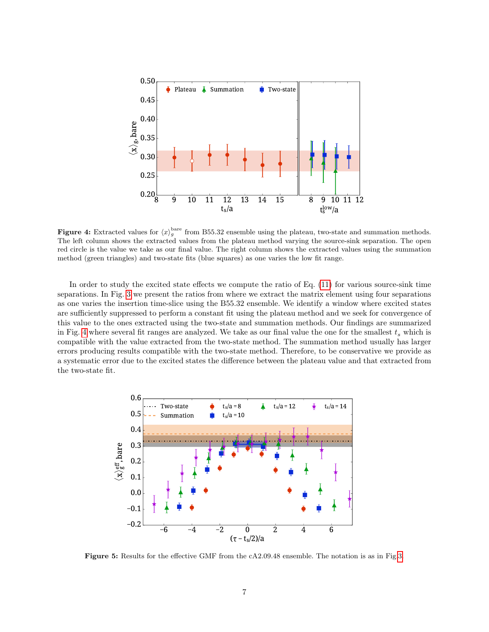<span id="page-6-0"></span>

**Figure 4:** Extracted values for  $\langle x \rangle_g^{\text{bare}}$  from B55.32 ensemble using the plateau, two-state and summation methods. The left column shows the extracted values from the plateau method varying the source-sink separation. The open red circle is the value we take as our final value. The right column shows the extracted values using the summation method (green triangles) and two-state fits (blue squares) as one varies the low fit range.

In order to study the excited state effects we compute the ratio of Eq. [\(11\)](#page-2-2) for various source-sink time separations. In Fig. [3](#page-5-1) we present the ratios from where we extract the matrix element using four separations as one varies the insertion time-slice using the B55.32 ensemble. We identify a window where excited states are sufficiently suppressed to perform a constant fit using the plateau method and we seek for convergence of this value to the ones extracted using the two-state and summation methods. Our findings are summarized in Fig. [4](#page-6-0) where several fit ranges are analyzed. We take as our final value the one for the smallest  $t_s$  which is compatible with the value extracted from the two-state method. The summation method usually has larger errors producing results compatible with the two-state method. Therefore, to be conservative we provide as a systematic error due to the excited states the difference between the plateau value and that extracted from the two-state fit.

<span id="page-6-1"></span>

Figure 5: Results for the effective GMF from the cA2.09.48 ensemble. The notation is as in Fig[.3.](#page-5-1)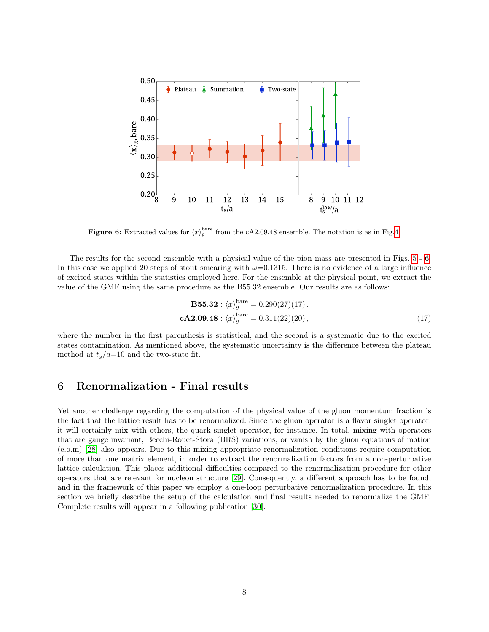<span id="page-7-0"></span>

**Figure 6:** Extracted values for  $\langle x \rangle_g^{\text{bare}}$  from the cA2.09.48 ensemble. The notation is as in Fig[.4.](#page-6-0)

The results for the second ensemble with a physical value of the pion mass are presented in Figs. [5](#page-6-1) - [6.](#page-7-0) In this case we applied 20 steps of stout smearing with  $\omega$ =0.1315. There is no evidence of a large influence of excited states within the statistics employed here. For the ensemble at the physical point, we extract the value of the GMF using the same procedure as the B55.32 ensemble. Our results are as follows:

<span id="page-7-1"></span>
$$
\mathbf{B55.32}: \langle x \rangle_g^{\text{bare}} = 0.290(27)(17),
$$
  

$$
\mathbf{cA2.09.48}: \langle x \rangle_g^{\text{bare}} = 0.311(22)(20), \qquad (17)
$$

where the number in the first parenthesis is statistical, and the second is a systematic due to the excited states contamination. As mentioned above, the systematic uncertainty is the difference between the plateau method at  $t_s/a=10$  and the two-state fit.

# 6 Renormalization - Final results

Yet another challenge regarding the computation of the physical value of the gluon momentum fraction is the fact that the lattice result has to be renormalized. Since the gluon operator is a flavor singlet operator, it will certainly mix with others, the quark singlet operator, for instance. In total, mixing with operators that are gauge invariant, Becchi-Rouet-Stora (BRS) variations, or vanish by the gluon equations of motion (e.o.m) [\[28\]](#page-14-10) also appears. Due to this mixing appropriate renormalization conditions require computation of more than one matrix element, in order to extract the renormalization factors from a non-perturbative lattice calculation. This places additional difficulties compared to the renormalization procedure for other operators that are relevant for nucleon structure [\[29\]](#page-14-11). Consequently, a different approach has to be found, and in the framework of this paper we employ a one-loop perturbative renormalization procedure. In this section we briefly describe the setup of the calculation and final results needed to renormalize the GMF. Complete results will appear in a following publication [\[30\]](#page-14-12).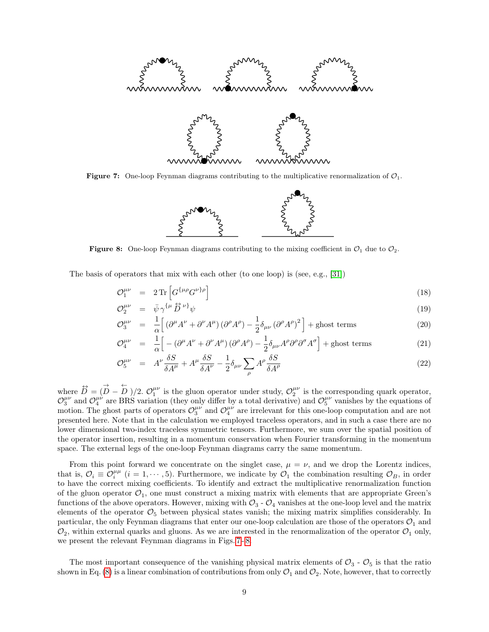<span id="page-8-0"></span>

<span id="page-8-1"></span>**Figure 7:** One-loop Feynman diagrams contributing to the multiplicative renormalization of  $\mathcal{O}_1$ .



**Figure 8:** One-loop Feynman diagrams contributing to the mixing coefficient in  $\mathcal{O}_1$  due to  $\mathcal{O}_2$ .

The basis of operators that mix with each other (to one loop) is (see, e.g., [\[31\]](#page-14-13))

$$
\mathcal{O}_1^{\mu\nu} = 2 \operatorname{Tr} \left[ G^{\{\mu\rho} G^{\nu\}\rho} \right] \tag{18}
$$

$$
\mathcal{O}_2^{\mu\nu} = \bar{\psi} \gamma^{\{\mu} \overleftrightarrow{D}^{\nu\}} \psi \tag{19}
$$

$$
\mathcal{O}_3^{\mu\nu} = \frac{1}{\alpha} \left[ \left( \partial^\mu A^\nu + \partial^\nu A^\mu \right) \left( \partial^\rho A^\rho \right) - \frac{1}{2} \delta_{\mu\nu} \left( \partial^\rho A^\rho \right)^2 \right] + \text{ghost terms} \tag{20}
$$

$$
\mathcal{O}_4^{\mu\nu} = \frac{1}{\alpha} \Big[ -(\partial^\mu A^\nu + \partial^\nu A^\mu) (\partial^\rho A^\rho) - \frac{1}{2} \delta_{\mu\nu} A^\rho \partial^\rho \partial^\sigma A^\sigma \Big] + \text{ghost terms} \tag{21}
$$

$$
\mathcal{O}_{5}^{\mu\nu} = A^{\nu}\frac{\delta S}{\delta A^{\mu}} + A^{\mu}\frac{\delta S}{\delta A^{\nu}} - \frac{1}{2}\delta_{\mu\nu}\sum_{\rho} A^{\rho}\frac{\delta S}{\delta A^{\rho}}
$$
(22)

where  $\vec{D} = (\vec{D} - \vec{D})/2$ .  $\mathcal{O}_1^{\mu\nu}$  is the gluon operator under study,  $\mathcal{O}_2^{\mu\nu}$  is the corresponding quark operator,  $\mathcal{O}_3^{\mu\nu}$  and  $\mathcal{O}_4^{\mu\nu}$  are BRS variation (they only differ by a total derivative) and  $\mathcal{O}_5^{\mu\nu}$  vanishes by the equations of motion. The ghost parts of operators  $\mathcal{O}_3^{\mu\nu}$  and  $\mathcal{O}_4^{\mu\nu}$  are irrelevant for this one-loop computation and are not presented here. Note that in the calculation we employed traceless operators, and in such a case there are no lower dimensional two-index traceless symmetric tensors. Furthermore, we sum over the spatial position of the operator insertion, resulting in a momentum conservation when Fourier transforming in the momentum space. The external legs of the one-loop Feynman diagrams carry the same momentum.

From this point forward we concentrate on the singlet case,  $\mu = \nu$ , and we drop the Lorentz indices, that is,  $\mathcal{O}_i \equiv \mathcal{O}_i^{\mu\mu}$   $(i = 1, \cdots, 5)$ . Furthermore, we indicate by  $\mathcal{O}_1$  the combination resulting  $\mathcal{O}_B$ , in order to have the correct mixing coefficients. To identify and extract the multiplicative renormalization function of the gluon operator  $\mathcal{O}_1$ , one must construct a mixing matrix with elements that are appropriate Green's functions of the above operators. However, mixing with  $\mathcal{O}_3$  -  $\mathcal{O}_4$  vanishes at the one-loop level and the matrix elements of the operator  $\mathcal{O}_5$  between physical states vanish; the mixing matrix simplifies considerably. In particular, the only Feynman diagrams that enter our one-loop calculation are those of the operators  $\mathcal{O}_1$  and  $\mathcal{O}_2$ , within external quarks and gluons. As we are interested in the renormalization of the operator  $\mathcal{O}_1$  only, we present the relevant Feynman diagrams in Figs. [7](#page-8-0) - [8.](#page-8-1)

The most important consequence of the vanishing physical matrix elements of  $\mathcal{O}_3$  -  $\mathcal{O}_5$  is that the ratio shown in Eq. [\(8\)](#page-2-1) is a linear combination of contributions from only  $\mathcal{O}_1$  and  $\mathcal{O}_2$ . Note, however, that to correctly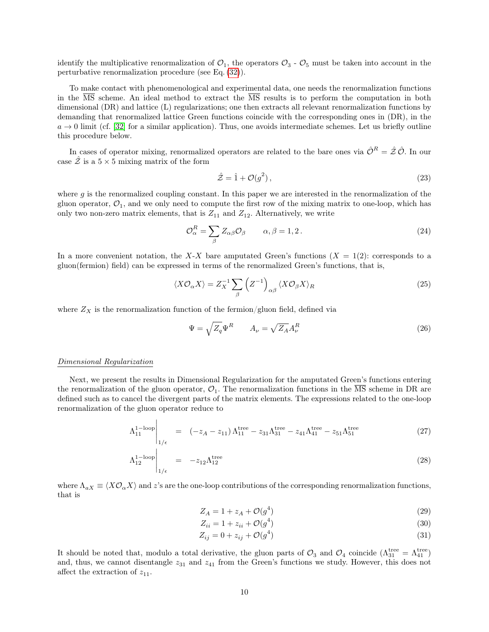identify the multiplicative renormalization of  $\mathcal{O}_1$ , the operators  $\mathcal{O}_3$  -  $\mathcal{O}_5$  must be taken into account in the perturbative renormalization procedure (see Eq. [\(32\)](#page-10-0)).

To make contact with phenomenological and experimental data, one needs the renormalization functions in the  $\overline{\text{MS}}$  scheme. An ideal method to extract the  $\overline{\text{MS}}$  results is to perform the computation in both dimensional (DR) and lattice (L) regularizations; one then extracts all relevant renormalization functions by demanding that renormalized lattice Green functions coincide with the corresponding ones in (DR), in the  $a \to 0$  limit (cf. [\[32\]](#page-14-14) for a similar application). Thus, one avoids intermediate schemes. Let us briefly outline this procedure below.

In cases of operator mixing, renormalized operators are related to the bare ones via  $\hat{\mathcal{O}}^R = \hat{\mathcal{Z}}\hat{\mathcal{O}}$ . In our case  $\tilde{Z}$  is a  $5 \times 5$  mixing matrix of the form

$$
\hat{\mathcal{Z}} = \hat{1} + \mathcal{O}(g^2),\tag{23}
$$

where  $g$  is the renormalized coupling constant. In this paper we are interested in the renormalization of the gluon operator,  $\mathcal{O}_1$ , and we only need to compute the first row of the mixing matrix to one-loop, which has only two non-zero matrix elements, that is  $Z_{11}$  and  $Z_{12}$ . Alternatively, we write

$$
\mathcal{O}_{\alpha}^{R} = \sum_{\beta} Z_{\alpha\beta} \mathcal{O}_{\beta} \qquad \alpha, \beta = 1, 2. \qquad (24)
$$

In a more convenient notation, the X-X bare amputated Green's functions  $(X = 1(2))$ : corresponds to a gluon(fermion) field) can be expressed in terms of the renormalized Green's functions, that is,

$$
\langle X\mathcal{O}_{\alpha}X\rangle = Z_X^{-1} \sum_{\beta} \left(Z^{-1}\right)_{\alpha\beta} \langle X\mathcal{O}_{\beta}X\rangle_R \tag{25}
$$

where  $Z_X$  is the renormalization function of the fermion/gluon field, defined via

$$
\Psi = \sqrt{Z_q} \Psi^R \qquad A_{\nu} = \sqrt{Z_A} A_{\nu}^R \tag{26}
$$

#### Dimensional Regularization

Next, we present the results in Dimensional Regularization for the amputated Green's functions entering the renormalization of the gluon operator,  $\mathcal{O}_1$ . The renormalization functions in the MS scheme in DR are defined such as to cancel the divergent parts of the matrix elements. The expressions related to the one-loop renormalization of the gluon operator reduce to

$$
\Lambda_{11}^{1-\text{loop}}\Big|_{1/\epsilon} = (-z_A - z_{11})\Lambda_{11}^{\text{tree}} - z_{31}\Lambda_{31}^{\text{tree}} - z_{41}\Lambda_{41}^{\text{tree}} - z_{51}\Lambda_{51}^{\text{tree}} \tag{27}
$$

$$
\Lambda_{12}^{1-\text{loop}}\Big|_{1/\epsilon} = -z_{12}\Lambda_{12}^{\text{tree}} \tag{28}
$$

where  $\Lambda_{aX} \equiv \langle X \mathcal{O}_{\alpha} X \rangle$  and z's are the one-loop contributions of the corresponding renormalization functions, that is

$$
Z_A = 1 + z_A + \mathcal{O}(g^4) \tag{29}
$$

$$
Z_{ii} = 1 + z_{ii} + \mathcal{O}(g^4)
$$
\n
$$
(30)
$$

$$
Z_{ij} = 0 + z_{ij} + \mathcal{O}(g^4)
$$
 (31)

It should be noted that, modulo a total derivative, the gluon parts of  $\mathcal{O}_3$  and  $\mathcal{O}_4$  coincide  $(\Lambda_{31}^{\text{tree}} = \Lambda_{41}^{\text{tree}})$ and, thus, we cannot disentangle  $z_{31}$  and  $z_{41}$  from the Green's functions we study. However, this does not affect the extraction of  $z_{11}$ .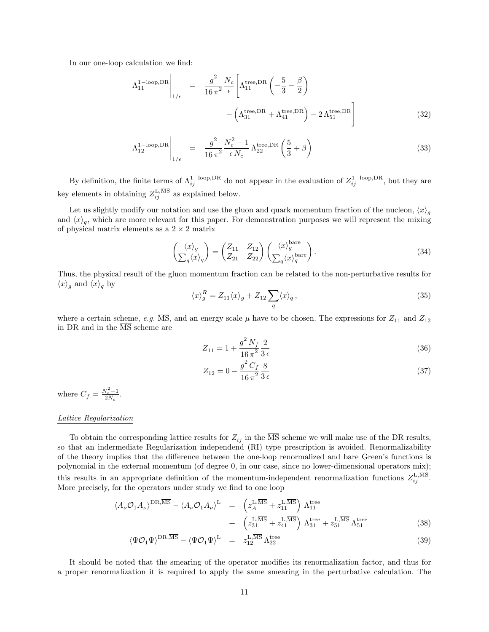In our one-loop calculation we find:

<span id="page-10-0"></span>
$$
\Lambda_{11}^{\text{1-loop,DR}}\Big|_{1/\epsilon} = \frac{g^2}{16\,\pi^2} \frac{N_c}{\epsilon} \Bigg[ \Lambda_{11}^{\text{tree,DR}} \left( -\frac{5}{3} - \frac{\beta}{2} \right) - \left( \Lambda_{31}^{\text{tree,DR}} + \Lambda_{41}^{\text{tree,DR}} \right) - 2\,\Lambda_{51}^{\text{tree,DR}} \Bigg]
$$
(32)

$$
\Lambda_{12}^{1-\text{loop},\text{DR}}\Big|_{1/\epsilon} = \frac{g^2}{16\,\pi^2} \frac{N_c^2 - 1}{\epsilon N_c} \Lambda_{22}^{\text{tree},\text{DR}}\left(\frac{5}{3} + \beta\right)
$$
(33)

By definition, the finite terms of  $\Lambda_{ij}^{1-\text{loop},\text{DR}}$  do not appear in the evaluation of  $Z_{ij}^{1-\text{loop},\text{DR}}$ , but they are key elements in obtaining  $Z_{ij}^{\text{L,MS}}$  as explained below.

Let us slightly modify our notation and use the gluon and quark momentum fraction of the nucleon,  $\langle x \rangle_g$ and  $\langle x \rangle_q$ , which are more relevant for this paper. For demonstration purposes we will represent the mixing of physical matrix elements as a  $2 \times 2$  matrix

$$
\begin{pmatrix} \langle x \rangle_g \\ \sum_q \langle x \rangle_q \end{pmatrix} = \begin{pmatrix} Z_{11} & Z_{12} \\ Z_{21} & Z_{22} \end{pmatrix} \begin{pmatrix} \langle x \rangle_g^{\text{bare}} \\ \sum_q \langle x \rangle_q^{\text{bare}} \end{pmatrix} . \tag{34}
$$

<span id="page-10-1"></span>Thus, the physical result of the gluon momentum fraction can be related to the non-perturbative results for  $\langle x \rangle_g$  and  $\langle x \rangle_q$  by

$$
\langle x \rangle_g^R = Z_{11} \langle x \rangle_g + Z_{12} \sum_q \langle x \rangle_q, \tag{35}
$$

where a certain scheme, e.g.  $\overline{\text{MS}}$ , and an energy scale  $\mu$  have to be chosen. The expressions for  $Z_{11}$  and  $Z_{12}$ in DR and in the  $\overline{\text{MS}}$  scheme are

$$
Z_{11} = 1 + \frac{g^2 N_f}{16 \pi^2} \frac{2}{3 \epsilon} \tag{36}
$$

$$
Z_{12} = 0 - \frac{g^2 C_f}{16 \pi^2} \frac{8}{3 \epsilon} \tag{37}
$$

where  $C_f = \frac{N_c^2 - 1}{2N_c}$  $\frac{N_c-1}{2N_c}$ .

#### Lattice Regularization

To obtain the corresponding lattice results for  $Z_{ij}$  in the  $\overline{\text{MS}}$  scheme we will make use of the DR results, so that an indermediate Regularization independend (RI) type prescription is avoided. Renormalizability of the theory implies that the difference between the one-loop renormalized and bare Green's functions is polynomial in the external momentum (of degree 0, in our case, since no lower-dimensional operators mix); this results in an appropriate definition of the momentum-independent renormalization functions  $Z_{ij}^{\text{L,MS}}$ . More precisely, for the operators under study we find to one loop

$$
\langle A_{\nu} \mathcal{O}_1 A_{\nu} \rangle^{\text{DR},\overline{\text{MS}}} - \langle A_{\nu} \mathcal{O}_1 A_{\nu} \rangle^{\text{L}} = \left( z_A^{\text{L},\overline{\text{MS}}} + z_{11}^{\text{L},\overline{\text{MS}}} \right) \Lambda_{11}^{\text{tree}} + \left( z_{31}^{\text{L},\overline{\text{MS}}} + z_{41}^{\text{L},\overline{\text{MS}}} \right) \Lambda_{31}^{\text{tree}} + z_{51}^{\text{L},\overline{\text{MS}}} \Lambda_{51}^{\text{tree}} \tag{38}
$$

$$
\langle \Psi \mathcal{O}_1 \Psi \rangle^{\text{DR}, \overline{\text{MS}}} - \langle \Psi \mathcal{O}_1 \Psi \rangle^{\text{L}} = z_{12}^{\text{L}, \overline{\text{MS}}} \Lambda_{22}^{\text{tree}} \tag{39}
$$

It should be noted that the smearing of the operator modifies its renormalization factor, and thus for a proper renormalization it is required to apply the same smearing in the perturbative calculation. The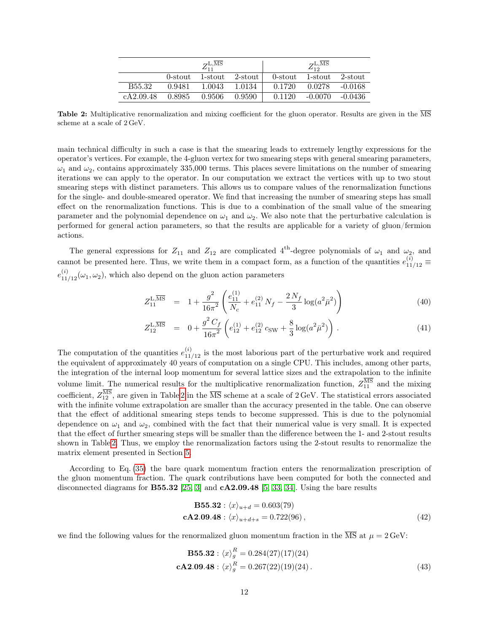<span id="page-11-0"></span>

|                    |         | $Z_{11}^{\text{L,MS}}$ |         | $Z_{12}^{\rm L,MS}$ |           |           |  |
|--------------------|---------|------------------------|---------|---------------------|-----------|-----------|--|
|                    | 0-stout | 1-stout                | 2-stout | 0-stout             | 1-stout   | 2-stout   |  |
| B <sub>55.32</sub> | 0.9481  | 1.0043                 | 1.0134  | 0.1720              | 0.0278    | $-0.0168$ |  |
| cA2.09.48          | 0.8985  | 0.9506                 | 0.9590  | 0.1120              | $-0.0070$ | $-0.0436$ |  |

Table 2: Multiplicative renormalization and mixing coefficient for the gluon operator. Results are given in the  $\overline{\text{MS}}$ scheme at a scale of 2 GeV.

main technical difficulty in such a case is that the smearing leads to extremely lengthy expressions for the operator's vertices. For example, the 4-gluon vertex for two smearing steps with general smearing parameters,  $\omega_1$  and  $\omega_2$ , contains approximately 335,000 terms. This places severe limitations on the number of smearing iterations we can apply to the operator. In our computation we extract the vertices with up to two stout smearing steps with distinct parameters. This allows us to compare values of the renormalization functions for the single- and double-smeared operator. We find that increasing the number of smearing steps has small effect on the renormalization functions. This is due to a combination of the small value of the smearing parameter and the polynomial dependence on  $\omega_1$  and  $\omega_2$ . We also note that the perturbative calculation is performed for general action parameters, so that the results are applicable for a variety of gluon/fermion actions.

The general expressions for  $Z_{11}$  and  $Z_{12}$  are complicated 4<sup>th</sup>-degree polynomials of  $\omega_1$  and  $\omega_2$ , and cannot be presented here. Thus, we write them in a compact form, as a function of the quantities  $e_{11/12}^{(i)} \equiv$  $e_{11/12}^{(i)}(\omega_1, \omega_2)$ , which also depend on the gluon action parameters

$$
Z_{11}^{\text{L},\overline{\text{MS}}} = 1 + \frac{g^2}{16\pi^2} \left( \frac{e_{11}^{(1)}}{N_c} + e_{11}^{(2)} N_f - \frac{2N_f}{3} \log(a^2 \bar{\mu}^2) \right)
$$
(40)

$$
Z_{12}^{\text{L},\overline{\text{MS}}} = 0 + \frac{g^2 C_f}{16\pi^2} \left( e_{12}^{(1)} + e_{12}^{(2)} c_{\text{SW}} + \frac{8}{3} \log(a^2 \bar{\mu}^2) \right). \tag{41}
$$

The computation of the quantities  $e_{11/12}^{(i)}$  is the most laborious part of the perturbative work and required the equivalent of approximately 40 years of computation on a single CPU. This includes, among other parts, the integration of the internal loop momentum for several lattice sizes and the extrapolation to the infinite volume limit. The numerical results for the multiplicative renormalization function,  $Z_{11}^{\text{MS}}$  and the mixing coefficient,  $Z_{12}^{\text{MS}}$ , are given in Table [2](#page-11-0) in the  $\overline{\text{MS}}$  scheme at a scale of 2 GeV. The statistical errors associated with the infinite volume extrapolation are smaller than the accuracy presented in the table. One can observe that the effect of additional smearing steps tends to become suppressed. This is due to the polynomial dependence on  $\omega_1$  and  $\omega_2$ , combined with the fact that their numerical value is very small. It is expected that the effect of further smearing steps will be smaller than the difference between the 1- and 2-stout results shown in Table [2.](#page-11-0) Thus, we employ the renormalization factors using the 2-stout results to renormalize the matrix element presented in Section [5.](#page-4-2)

According to Eq. [\(35\)](#page-10-1) the bare quark momentum fraction enters the renormalization prescription of the gluon momentum fraction. The quark contributions have been computed for both the connected and disconnected diagrams for **B55.32** [\[25,](#page-14-7) [3\]](#page-13-2) and  $cA2.09.48$  [\[5,](#page-13-4) [33,](#page-14-15) [34\]](#page-14-16). Using the bare results

**B55.32**: 
$$
\langle x \rangle_{u+d} = 0.603(79)
$$
  
\n**cA2.09.48**:  $\langle x \rangle_{u+d+s} = 0.722(96)$ , (42)

we find the following values for the renormalized gluon momentum fraction in the  $\overline{\text{MS}}$  at  $\mu = 2 \text{ GeV}$ :

<span id="page-11-1"></span>
$$
\mathbf{B55.32}: \langle x \rangle_g^R = 0.284(27)(17)(24)
$$
  
\n
$$
\mathbf{cA2.09.48}: \langle x \rangle_g^R = 0.267(22)(19)(24).
$$
\n(43)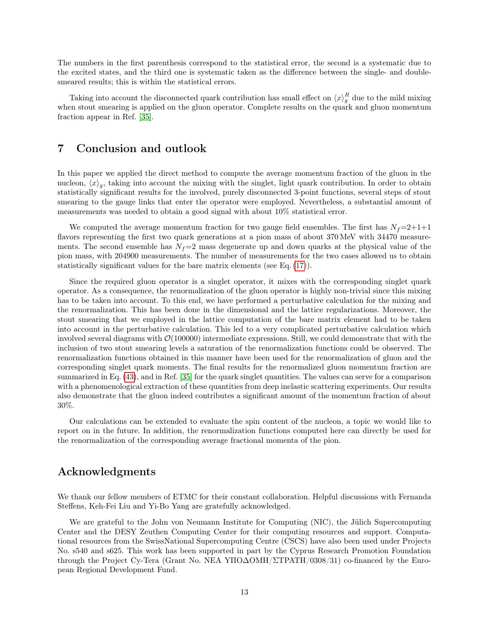The numbers in the first parenthesis correspond to the statistical error, the second is a systematic due to the excited states, and the third one is systematic taken as the difference between the single- and doublesmeared results; this is within the statistical errors.

Taking into account the disconnected quark contribution has small effect on  $\langle x \rangle_g^R$  due to the mild mixing when stout smearing is applied on the gluon operator. Complete results on the quark and gluon momentum fraction appear in Ref. [\[35\]](#page-15-0).

# 7 Conclusion and outlook

In this paper we applied the direct method to compute the average momentum fraction of the gluon in the nucleon,  $\langle x \rangle_g$ , taking into account the mixing with the singlet, light quark contribution. In order to obtain statistically significant results for the involved, purely disconnected 3-point functions, several steps of stout smearing to the gauge links that enter the operator were employed. Nevertheless, a substantial amount of measurements was needed to obtain a good signal with about 10% statistical error.

We computed the average momentum fraction for two gauge field ensembles. The first has  $N_f=2+1+1$ flavors representing the first two quark generations at a pion mass of about 370 MeV with 34470 measurements. The second ensemble has  $N_f=2$  mass degenerate up and down quarks at the physical value of the pion mass, with 204900 measurements. The number of measurements for the two cases allowed us to obtain statistically significant values for the bare matrix elements (see Eq. [\(17\)](#page-7-1)).

Since the required gluon operator is a singlet operator, it mixes with the corresponding singlet quark operator. As a consequence, the renormalization of the gluon operator is highly non-trivial since this mixing has to be taken into account. To this end, we have performed a perturbative calculation for the mixing and the renormalization. This has been done in the dimensional and the lattice regularizations. Moreover, the stout smearing that we employed in the lattice computation of the bare matrix element had to be taken into account in the perturbative calculation. This led to a very complicated perturbative calculation which involved several diagrams with  $\mathcal{O}(100000)$  intermediate expressions. Still, we could demonstrate that with the inclusion of two stout smearing levels a saturation of the renormalization functions could be observed. The renormalization functions obtained in this manner have been used for the renormalization of gluon and the corresponding singlet quark moments. The final results for the renormalized gluon momentum fraction are summarized in Eq. [\(43\)](#page-11-1), and in Ref. [\[35\]](#page-15-0) for the quark singlet quantities. The values can serve for a comparison with a phenomenological extraction of these quantities from deep inelastic scattering experiments. Our results also demonstrate that the gluon indeed contributes a significant amount of the momentum fraction of about 30%.

Our calculations can be extended to evaluate the spin content of the nucleon, a topic we would like to report on in the future. In addition, the renormalization functions computed here can directly be used for the renormalization of the corresponding average fractional momenta of the pion.

### Acknowledgments

We thank our fellow members of ETMC for their constant collaboration. Helpful discussions with Fernanda Steffens, Keh-Fei Liu and Yi-Bo Yang are gratefully acknowledged.

We are grateful to the John von Neumann Institute for Computing (NIC), the Jülich Supercomputing Center and the DESY Zeuthen Computing Center for their computing resources and support. Computational resources from the SwissNational Supercomputing Centre (CSCS) have also been used under Projects No. s540 and s625. This work has been supported in part by the Cyprus Research Promotion Foundation through the Project Cy-Tera (Grant No. NEA YΠO∆OMH/ΣTPATH/0308/31) co-financed by the European Regional Development Fund.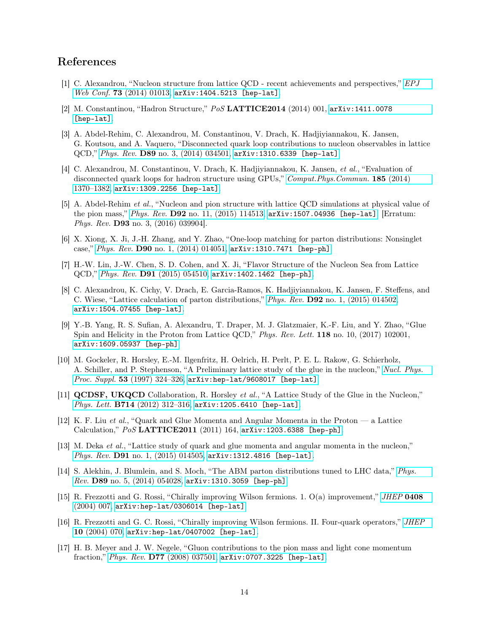# References

- <span id="page-13-0"></span>[1] C. Alexandrou, "Nucleon structure from lattice QCD - recent achievements and perspectives," [EPJ](http://dx.doi.org/10.1051/epjconf/20147301013) Web Conf. 73 [\(2014\) 01013,](http://dx.doi.org/10.1051/epjconf/20147301013) [arXiv:1404.5213 \[hep-lat\]](http://arxiv.org/abs/1404.5213).
- <span id="page-13-1"></span>[2] M. Constantinou, "Hadron Structure," PoS LATTICE2014 (2014) 001, [arXiv:1411.0078](http://arxiv.org/abs/1411.0078) [\[hep-lat\]](http://arxiv.org/abs/1411.0078).
- <span id="page-13-2"></span>[3] A. Abdel-Rehim, C. Alexandrou, M. Constantinou, V. Drach, K. Hadjiyiannakou, K. Jansen, G. Koutsou, and A. Vaquero, "Disconnected quark loop contributions to nucleon observables in lattice QCD," Phys. Rev. D89 [no. 3, \(2014\) 034501,](http://dx.doi.org/10.1103/PhysRevD.89.034501) [arXiv:1310.6339 \[hep-lat\]](http://arxiv.org/abs/1310.6339).
- <span id="page-13-3"></span>[4] C. Alexandrou, M. Constantinou, V. Drach, K. Hadjiyiannakou, K. Jansen, et al., "Evaluation of disconnected quark loops for hadron structure using GPUs," [Comput.Phys.Commun.](http://dx.doi.org/10.1016/j.cpc.2014.01.009) 185 (2014) [1370–1382,](http://dx.doi.org/10.1016/j.cpc.2014.01.009) [arXiv:1309.2256 \[hep-lat\]](http://arxiv.org/abs/1309.2256).
- <span id="page-13-4"></span>[5] A. Abdel-Rehim et al., "Nucleon and pion structure with lattice QCD simulations at physical value of the pion mass," Phys. Rev. D92 [no. 11, \(2015\) 114513,](http://dx.doi.org/10.1103/PhysRevD.92.114513, 10.1103/PhysRevD.93.039904) [arXiv:1507.04936 \[hep-lat\]](http://arxiv.org/abs/1507.04936). [Erratum: Phys. Rev. D93 no. 3, (2016) 039904].
- <span id="page-13-5"></span>[6] X. Xiong, X. Ji, J.-H. Zhang, and Y. Zhao, "One-loop matching for parton distributions: Nonsinglet case," Phys. Rev. D90 [no. 1, \(2014\) 014051,](http://dx.doi.org/10.1103/PhysRevD.90.014051) [arXiv:1310.7471 \[hep-ph\]](http://arxiv.org/abs/1310.7471).
- <span id="page-13-6"></span>[7] H.-W. Lin, J.-W. Chen, S. D. Cohen, and X. Ji, "Flavor Structure of the Nucleon Sea from Lattice QCD," Phys. Rev. D91 [\(2015\) 054510,](http://dx.doi.org/10.1103/PhysRevD.91.054510) [arXiv:1402.1462 \[hep-ph\]](http://arxiv.org/abs/1402.1462).
- <span id="page-13-7"></span>[8] C. Alexandrou, K. Cichy, V. Drach, E. Garcia-Ramos, K. Hadjiyiannakou, K. Jansen, F. Steffens, and C. Wiese, "Lattice calculation of parton distributions," Phys. Rev. D92 [no. 1, \(2015\) 014502,](http://dx.doi.org/10.1103/PhysRevD.92.014502) [arXiv:1504.07455 \[hep-lat\]](http://arxiv.org/abs/1504.07455).
- <span id="page-13-13"></span>[9] Y.-B. Yang, R. S. Sufian, A. Alexandru, T. Draper, M. J. Glatzmaier, K.-F. Liu, and Y. Zhao, "Glue Spin and Helicity in the Proton from Lattice QCD," Phys. Rev. Lett. 118 no. 10, (2017) 102001, [arXiv:1609.05937 \[hep-ph\]](http://arxiv.org/abs/1609.05937).
- <span id="page-13-8"></span>[10] M. Gockeler, R. Horsley, E.-M. Ilgenfritz, H. Oelrich, H. Perlt, P. E. L. Rakow, G. Schierholz, A. Schiller, and P. Stephenson, "A Preliminary lattice study of the glue in the nucleon," [Nucl. Phys.](http://dx.doi.org/10.1016/S0920-5632(96)00650-0) Proc. Suppl. 53 [\(1997\) 324–326,](http://dx.doi.org/10.1016/S0920-5632(96)00650-0) [arXiv:hep-lat/9608017 \[hep-lat\]](http://arxiv.org/abs/hep-lat/9608017).
- <span id="page-13-9"></span>[11] QCDSF, UKQCD Collaboration, R. Horsley et al., "A Lattice Study of the Glue in the Nucleon," Phys. Lett. B714 (2012) 312-316, [arXiv:1205.6410 \[hep-lat\]](http://arxiv.org/abs/1205.6410).
- <span id="page-13-10"></span>[12] K. F. Liu et al., "Quark and Glue Momenta and Angular Momenta in the Proton — a Lattice Calculation," PoS LATTICE2011 (2011) 164, [arXiv:1203.6388 \[hep-ph\]](http://arxiv.org/abs/1203.6388).
- <span id="page-13-11"></span>[13] M. Deka et al., "Lattice study of quark and glue momenta and angular momenta in the nucleon," Phys. Rev. **D91** [no. 1, \(2015\) 014505,](http://dx.doi.org/10.1103/PhysRevD.91.014505) [arXiv:1312.4816 \[hep-lat\]](http://arxiv.org/abs/1312.4816).
- <span id="page-13-12"></span>[14] S. Alekhin, J. Blumlein, and S. Moch, "The ABM parton distributions tuned to LHC data," [Phys.](http://dx.doi.org/10.1103/PhysRevD.89.054028) Rev. D89 [no. 5, \(2014\) 054028,](http://dx.doi.org/10.1103/PhysRevD.89.054028) [arXiv:1310.3059 \[hep-ph\]](http://arxiv.org/abs/1310.3059).
- <span id="page-13-14"></span>[15] R. Frezzotti and G. Rossi, "Chirally improving Wilson fermions. 1. O(a) improvement," [JHEP](http://dx.doi.org/10.1088/1126-6708/2004/08/007) 0408 [\(2004\) 007,](http://dx.doi.org/10.1088/1126-6708/2004/08/007) [arXiv:hep-lat/0306014 \[hep-lat\]](http://arxiv.org/abs/hep-lat/0306014).
- <span id="page-13-15"></span>[16] R. Frezzotti and G. C. Rossi, "Chirally improving Wilson fermions. II. Four-quark operators," [JHEP](http://dx.doi.org/10.1088/1126-6708/2004/10/070) 10 [\(2004\) 070,](http://dx.doi.org/10.1088/1126-6708/2004/10/070) [arXiv:hep-lat/0407002 \[hep-lat\]](http://arxiv.org/abs/hep-lat/0407002).
- <span id="page-13-16"></span>[17] H. B. Meyer and J. W. Negele, "Gluon contributions to the pion mass and light cone momentum fraction," Phys. Rev. D77 [\(2008\) 037501,](http://dx.doi.org/10.1103/PhysRevD.77.037501) [arXiv:0707.3225 \[hep-lat\]](http://arxiv.org/abs/0707.3225).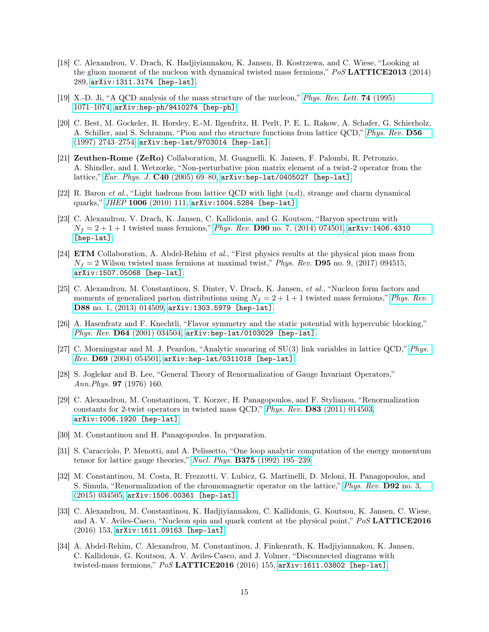- <span id="page-14-0"></span>[18] C. Alexandrou, V. Drach, K. Hadjiyiannakou, K. Jansen, B. Kostrzewa, and C. Wiese, "Looking at the gluon moment of the nucleon with dynamical twisted mass fermions," PoS LATTICE2013 (2014) 289, [arXiv:1311.3174 \[hep-lat\]](http://arxiv.org/abs/1311.3174).
- <span id="page-14-1"></span>[19] X.-D. Ji, "A QCD analysis of the mass structure of the nucleon," [Phys. Rev. Lett.](http://dx.doi.org/10.1103/PhysRevLett.74.1071) 74 (1995) [1071–1074,](http://dx.doi.org/10.1103/PhysRevLett.74.1071) [arXiv:hep-ph/9410274 \[hep-ph\]](http://arxiv.org/abs/hep-ph/9410274).
- <span id="page-14-2"></span>[20] C. Best, M. Gockeler, R. Horsley, E.-M. Ilgenfritz, H. Perlt, P. E. L. Rakow, A. Schafer, G. Schierholz, A. Schiller, and S. Schramm, "Pion and rho structure functions from lattice QCD," [Phys. Rev.](http://dx.doi.org/10.1103/PhysRevD.56.2743) D56 [\(1997\) 2743–2754,](http://dx.doi.org/10.1103/PhysRevD.56.2743) [arXiv:hep-lat/9703014 \[hep-lat\]](http://arxiv.org/abs/hep-lat/9703014).
- <span id="page-14-3"></span>[21] Zeuthen-Rome (ZeRo) Collaboration, M. Guagnelli, K. Jansen, F. Palombi, R. Petronzio, A. Shindler, and I. Wetzorke, "Non-perturbative pion matrix element of a twist-2 operator from the lattice," [Eur. Phys. J.](http://dx.doi.org/10.1140/epjc/s2005-02121-5) C40 (2005) 69–80, [arXiv:hep-lat/0405027 \[hep-lat\]](http://arxiv.org/abs/hep-lat/0405027).
- <span id="page-14-4"></span>[22] R. Baron et al., "Light hadrons from lattice QCD with light  $(u,d)$ , strange and charm dynamical quarks," JHEP 1006 [\(2010\) 111,](http://dx.doi.org/10.1007/JHEP06(2010)111) [arXiv:1004.5284 \[hep-lat\]](http://arxiv.org/abs/1004.5284).
- <span id="page-14-5"></span>[23] C. Alexandrou, V. Drach, K. Jansen, C. Kallidonis, and G. Koutsou, "Baryon spectrum with  $N_f = 2 + 1 + 1$  twisted mass fermions," Phys. Rev. D90 [no. 7, \(2014\) 074501,](http://dx.doi.org/10.1103/PhysRevD.90.074501) [arXiv:1406.4310](http://arxiv.org/abs/1406.4310) [\[hep-lat\]](http://arxiv.org/abs/1406.4310).
- <span id="page-14-6"></span>[24] ETM Collaboration, A. Abdel-Rehim et al., "First physics results at the physical pion mass from  $N_f = 2$  Wilson twisted mass fermions at maximal twist," *Phys. Rev.* **D95** no. 9, (2017) 094515, [arXiv:1507.05068 \[hep-lat\]](http://arxiv.org/abs/1507.05068).
- <span id="page-14-7"></span>[25] C. Alexandrou, M. Constantinou, S. Dinter, V. Drach, K. Jansen, et al., "Nucleon form factors and moments of generalized parton distributions using  $N_f = 2 + 1 + 1$  twisted mass fermions," [Phys. Rev.](http://dx.doi.org/10.1103/PhysRevD.88.014509) D88 [no. 1, \(2013\) 014509,](http://dx.doi.org/10.1103/PhysRevD.88.014509) [arXiv:1303.5979 \[hep-lat\]](http://arxiv.org/abs/1303.5979).
- <span id="page-14-8"></span>[26] A. Hasenfratz and F. Knechtli, "Flavor symmetry and the static potential with hypercubic blocking," Phys. Rev. D64 [\(2001\) 034504,](http://dx.doi.org/10.1103/PhysRevD.64.034504) [arXiv:hep-lat/0103029 \[hep-lat\]](http://arxiv.org/abs/hep-lat/0103029).
- <span id="page-14-9"></span>[27] C. Morningstar and M. J. Peardon, "Analytic smearing of SU(3) link variables in lattice QCD," [Phys.](http://dx.doi.org/10.1103/PhysRevD.69.054501)  $Rev.$   $D69$   $(2004)$   $054501$ ,  $arXiv:hep-lat/0311018$  [hep-lat].
- <span id="page-14-10"></span>[28] S. Joglekar and B. Lee, "General Theory of Renormalization of Gauge Invariant Operators," Ann.Phys. 97 (1976) 160.
- <span id="page-14-11"></span>[29] C. Alexandrou, M. Constantinou, T. Korzec, H. Panagopoulos, and F. Stylianou, "Renormalization constants for 2-twist operators in twisted mass QCD," Phys. Rev. D83 [\(2011\) 014503,](http://dx.doi.org/10.1103/PhysRevD.83.014503) [arXiv:1006.1920 \[hep-lat\]](http://arxiv.org/abs/1006.1920).
- <span id="page-14-12"></span>[30] M. Constantinou and H. Panagopoulos. In preparation.
- <span id="page-14-13"></span>[31] S. Caracciolo, P. Menotti, and A. Pelissetto, "One loop analytic computation of the energy momentum tensor for lattice gauge theories," Nucl. Phys. B375 [\(1992\) 195–239.](http://dx.doi.org/10.1016/0550-3213(92)90339-D)
- <span id="page-14-14"></span>[32] M. Constantinou, M. Costa, R. Frezzotti, V. Lubicz, G. Martinelli, D. Meloni, H. Panagopoulos, and S. Simula, "Renormalization of the chromomagnetic operator on the lattice," [Phys. Rev.](http://dx.doi.org/10.1103/PhysRevD.92.034505) D92 no. 3, [\(2015\) 034505,](http://dx.doi.org/10.1103/PhysRevD.92.034505) [arXiv:1506.00361 \[hep-lat\]](http://arxiv.org/abs/1506.00361).
- <span id="page-14-15"></span>[33] C. Alexandrou, M. Constantinou, K. Hadjiyiannakou, C. Kallidonis, G. Koutsou, K. Jansen, C. Wiese, and A. V. Aviles-Casco, "Nucleon spin and quark content at the physical point," PoS LATTICE2016 (2016) 153, [arXiv:1611.09163 \[hep-lat\]](http://arxiv.org/abs/1611.09163).
- <span id="page-14-16"></span>[34] A. Abdel-Rehim, C. Alexandrou, M. Constantinou, J. Finkenrath, K. Hadjiyiannakou, K. Jansen, C. Kallidonis, G. Koutsou, A. V. Aviles-Casco, and J. Volmer, "Disconnected diagrams with twisted-mass fermions," PoS LATTICE2016 (2016) 155, [arXiv:1611.03802 \[hep-lat\]](http://arxiv.org/abs/1611.03802).